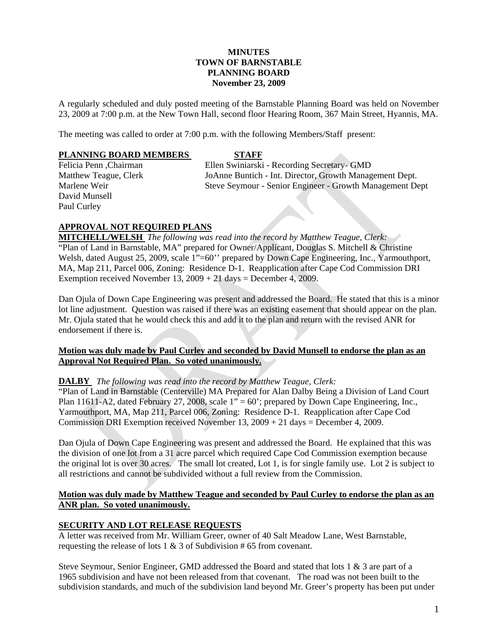### **MINUTES TOWN OF BARNSTABLE PLANNING BOARD November 23, 2009**

A regularly scheduled and duly posted meeting of the Barnstable Planning Board was held on November 23, 2009 at 7:00 p.m. at the New Town Hall, second floor Hearing Room, 367 Main Street, Hyannis, MA.

The meeting was called to order at 7:00 p.m. with the following Members/Staff present:

#### **PLANNING BOARD MEMBERS STAFF**

David Munsell Paul Curley

Felicia Penn ,Chairman Ellen Swiniarski - Recording Secretary- GMD Matthew Teague, Clerk JoAnne Buntich - Int. Director, Growth Management Dept. Marlene Weir Steve Seymour - Senior Engineer - Growth Management Dept

# **APPROVAL NOT REQUIRED PLANS**

**MITCHELL/WELSH** *The following was read into the record by Matthew Teague, Clerk:*  "Plan of Land in Barnstable, MA" prepared for Owner/Applicant, Douglas S. Mitchell & Christine Welsh, dated August 25, 2009, scale 1"=60" prepared by Down Cape Engineering, Inc., Yarmouthport, MA, Map 211, Parcel 006, Zoning: Residence D-1. Reapplication after Cape Cod Commission DRI Exemption received November 13,  $2009 + 21$  days = December 4, 2009.

Dan Ojula of Down Cape Engineering was present and addressed the Board. He stated that this is a minor lot line adjustment. Question was raised if there was an existing easement that should appear on the plan. Mr. Ojula stated that he would check this and add it to the plan and return with the revised ANR for endorsement if there is.

### **Motion was duly made by Paul Curley and seconded by David Munsell to endorse the plan as an Approval Not Required Plan. So voted unanimously.**

### **DALBY** *The following was read into the record by Matthew Teague, Clerk:*

"Plan of Land in Barnstable (Centerville) MA Prepared for Alan Dalby Being a Division of Land Court Plan 11611-A2, dated February 27, 2008, scale  $1" = 60"$ ; prepared by Down Cape Engineering, Inc., Yarmouthport, MA, Map 211, Parcel 006, Zoning: Residence D-1. Reapplication after Cape Cod Commission DRI Exemption received November 13,  $2009 + 21$  days = December 4, 2009.

Dan Ojula of Down Cape Engineering was present and addressed the Board. He explained that this was the division of one lot from a 31 acre parcel which required Cape Cod Commission exemption because the original lot is over 30 acres. The small lot created, Lot 1, is for single family use. Lot 2 is subject to all restrictions and cannot be subdivided without a full review from the Commission.

### **Motion was duly made by Matthew Teague and seconded by Paul Curley to endorse the plan as an ANR plan. So voted unanimously.**

### **SECURITY AND LOT RELEASE REQUESTS**

A letter was received from Mr. William Greer, owner of 40 Salt Meadow Lane, West Barnstable, requesting the release of lots 1 & 3 of Subdivision # 65 from covenant.

Steve Seymour, Senior Engineer, GMD addressed the Board and stated that lots 1 & 3 are part of a 1965 subdivision and have not been released from that covenant. The road was not been built to the subdivision standards, and much of the subdivision land beyond Mr. Greer's property has been put under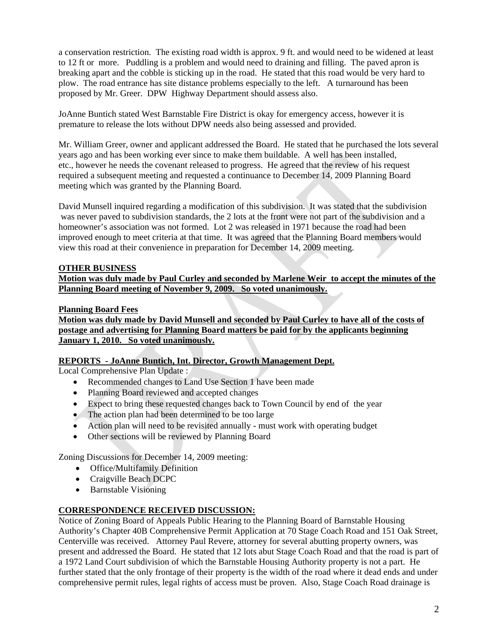a conservation restriction. The existing road width is approx. 9 ft. and would need to be widened at least to 12 ft or more. Puddling is a problem and would need to draining and filling. The paved apron is breaking apart and the cobble is sticking up in the road. He stated that this road would be very hard to plow. The road entrance has site distance problems especially to the left. A turnaround has been proposed by Mr. Greer. DPW Highway Department should assess also.

JoAnne Buntich stated West Barnstable Fire District is okay for emergency access, however it is premature to release the lots without DPW needs also being assessed and provided.

Mr. William Greer, owner and applicant addressed the Board. He stated that he purchased the lots several years ago and has been working ever since to make them buildable. A well has been installed, etc., however he needs the covenant released to progress. He agreed that the review of his request required a subsequent meeting and requested a continuance to December 14, 2009 Planning Board meeting which was granted by the Planning Board.

David Munsell inquired regarding a modification of this subdivision. It was stated that the subdivision was never paved to subdivision standards, the 2 lots at the front were not part of the subdivision and a homeowner's association was not formed. Lot 2 was released in 1971 because the road had been improved enough to meet criteria at that time. It was agreed that the Planning Board members would view this road at their convenience in preparation for December 14, 2009 meeting.

# **OTHER BUSINESS**

**Motion was duly made by Paul Curley and seconded by Marlene Weir to accept the minutes of the Planning Board meeting of November 9, 2009. So voted unanimously.**

### **Planning Board Fees**

**Motion was duly made by David Munsell and seconded by Paul Curley to have all of the costs of postage and advertising for Planning Board matters be paid for by the applicants beginning January 1, 2010. So voted unanimously.** 

# **REPORTS - JoAnne Buntich, Int. Director, Growth Management Dept.**

Local Comprehensive Plan Update :

- Recommended changes to Land Use Section 1 have been made
- Planning Board reviewed and accepted changes
- Expect to bring these requested changes back to Town Council by end of the year
- The action plan had been determined to be too large
- Action plan will need to be revisited annually must work with operating budget
- Other sections will be reviewed by Planning Board

Zoning Discussions for December 14, 2009 meeting:

- Office/Multifamily Definition
- Craigville Beach DCPC
- Barnstable Visioning

### **CORRESPONDENCE RECEIVED DISCUSSION:**

Notice of Zoning Board of Appeals Public Hearing to the Planning Board of Barnstable Housing Authority's Chapter 40B Comprehensive Permit Application at 70 Stage Coach Road and 151 Oak Street, Centerville was received. Attorney Paul Revere, attorney for several abutting property owners, was present and addressed the Board. He stated that 12 lots abut Stage Coach Road and that the road is part of a 1972 Land Court subdivision of which the Barnstable Housing Authority property is not a part. He further stated that the only frontage of their property is the width of the road where it dead ends and under comprehensive permit rules, legal rights of access must be proven. Also, Stage Coach Road drainage is